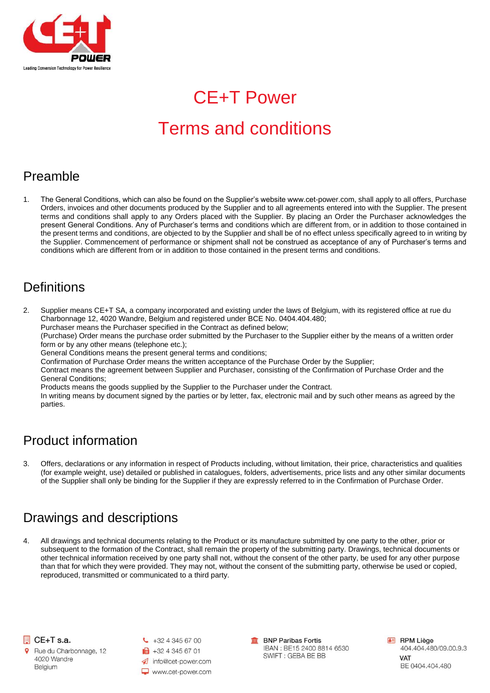

# CE+T Power

# Terms and conditions

## Preamble

1. The General Conditions, which can also be found on the Supplier's website www.cet-power.com, shall apply to all offers, Purchase Orders, invoices and other documents produced by the Supplier and to all agreements entered into with the Supplier. The present terms and conditions shall apply to any Orders placed with the Supplier. By placing an Order the Purchaser acknowledges the present General Conditions. Any of Purchaser's terms and conditions which are different from, or in addition to those contained in the present terms and conditions, are objected to by the Supplier and shall be of no effect unless specifically agreed to in writing by the Supplier. Commencement of performance or shipment shall not be construed as acceptance of any of Purchaser's terms and conditions which are different from or in addition to those contained in the present terms and conditions.

#### **Definitions**

2. Supplier means CE+T SA, a company incorporated and existing under the laws of Belgium, with its registered office at rue du Charbonnage 12, 4020 Wandre, Belgium and registered under BCE No. 0404.404.480;

Purchaser means the Purchaser specified in the Contract as defined below;

(Purchase) Order means the purchase order submitted by the Purchaser to the Supplier either by the means of a written order form or by any other means (telephone etc.);

General Conditions means the present general terms and conditions;

Confirmation of Purchase Order means the written acceptance of the Purchase Order by the Supplier;

Contract means the agreement between Supplier and Purchaser, consisting of the Confirmation of Purchase Order and the General Conditions;

Products means the goods supplied by the Supplier to the Purchaser under the Contract.

In writing means by document signed by the parties or by letter, fax, electronic mail and by such other means as agreed by the parties.

## Product information

3. Offers, declarations or any information in respect of Products including, without limitation, their price, characteristics and qualities (for example weight, use) detailed or published in catalogues, folders, advertisements, price lists and any other similar documents of the Supplier shall only be binding for the Supplier if they are expressly referred to in the Confirmation of Purchase Order.

## Drawings and descriptions

4. All drawings and technical documents relating to the Product or its manufacture submitted by one party to the other, prior or subsequent to the formation of the Contract, shall remain the property of the submitting party. Drawings, technical documents or other technical information received by one party shall not, without the consent of the other party, be used for any other purpose than that for which they were provided. They may not, without the consent of the submitting party, otherwise be used or copied, reproduced, transmitted or communicated to a third party.



Rue du Charbonnage, 12 4020 Wandre Belgium



**ff** BNP Paribas Fortis IBAN : BE15 2400 8814 6530 SWIFT: GEBA BE BB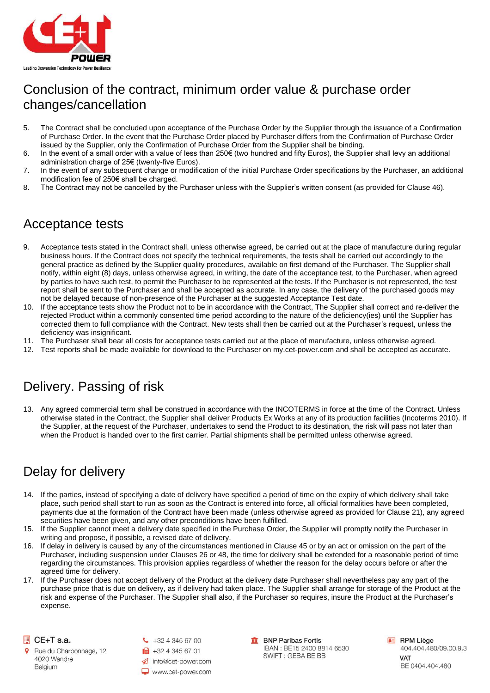

## Conclusion of the contract, minimum order value & purchase order changes/cancellation

- 5. The Contract shall be concluded upon acceptance of the Purchase Order by the Supplier through the issuance of a Confirmation of Purchase Order. In the event that the Purchase Order placed by Purchaser differs from the Confirmation of Purchase Order issued by the Supplier, only the Confirmation of Purchase Order from the Supplier shall be binding.
- 6. In the event of a small order with a value of less than 250€ (two hundred and fifty Euros), the Supplier shall levy an additional administration charge of 25€ (twenty-five Euros).
- 7. In the event of any subsequent change or modification of the initial Purchase Order specifications by the Purchaser, an additional modification fee of 250€ shall be charged.
- 8. The Contract may not be cancelled by the Purchaser unless with the Supplier's written consent (as provided for Clause 46).

## Acceptance tests

- 9. Acceptance tests stated in the Contract shall, unless otherwise agreed, be carried out at the place of manufacture during regular business hours. If the Contract does not specify the technical requirements, the tests shall be carried out accordingly to the general practice as defined by the Supplier quality procedures, available on first demand of the Purchaser. The Supplier shall notify, within eight (8) days, unless otherwise agreed, in writing, the date of the acceptance test, to the Purchaser, when agreed by parties to have such test, to permit the Purchaser to be represented at the tests. If the Purchaser is not represented, the test report shall be sent to the Purchaser and shall be accepted as accurate. In any case, the delivery of the purchased goods may not be delayed because of non-presence of the Purchaser at the suggested Acceptance Test date.
- 10. If the acceptance tests show the Product not to be in accordance with the Contract, The Supplier shall correct and re-deliver the rejected Product within a commonly consented time period according to the nature of the deficiency(ies) until the Supplier has corrected them to full compliance with the Contract. New tests shall then be carried out at the Purchaser's request, unless the deficiency was insignificant.
- 11. The Purchaser shall bear all costs for acceptance tests carried out at the place of manufacture, unless otherwise agreed.
- 12. Test reports shall be made available for download to the Purchaser on my.cet-power.com and shall be accepted as accurate.

## Delivery. Passing of risk

13. Any agreed commercial term shall be construed in accordance with the INCOTERMS in force at the time of the Contract. Unless otherwise stated in the Contract, the Supplier shall deliver Products Ex Works at any of its production facilities (Incoterms 2010). If the Supplier, at the request of the Purchaser, undertakes to send the Product to its destination, the risk will pass not later than when the Product is handed over to the first carrier. Partial shipments shall be permitted unless otherwise agreed.

## Delay for delivery

- 14. If the parties, instead of specifying a date of delivery have specified a period of time on the expiry of which delivery shall take place, such period shall start to run as soon as the Contract is entered into force, all official formalities have been completed, payments due at the formation of the Contract have been made (unless otherwise agreed as provided for Clause 21), any agreed securities have been given, and any other preconditions have been fulfilled.
- 15. If the Supplier cannot meet a delivery date specified in the Purchase Order, the Supplier will promptly notify the Purchaser in writing and propose, if possible, a revised date of delivery.
- 16. If delay in delivery is caused by any of the circumstances mentioned in Clause 45 or by an act or omission on the part of the Purchaser, including suspension under Clauses 26 or 48, the time for delivery shall be extended for a reasonable period of time regarding the circumstances. This provision applies regardless of whether the reason for the delay occurs before or after the agreed time for delivery.
- 17. If the Purchaser does not accept delivery of the Product at the delivery date Purchaser shall nevertheless pay any part of the purchase price that is due on delivery, as if delivery had taken place. The Supplier shall arrange for storage of the Product at the risk and expense of the Purchaser. The Supplier shall also, if the Purchaser so requires, insure the Product at the Purchaser's expense.

CE+T s.a.

Rue du Charbonnage, 12 4020 Wandre Belgium

 $\bigcup$  +32 4 345 67 00 ■ +32 4 345 67 01 nfo@cet-power.com www.cet-power.com

**m** BNP Paribas Fortis IBAN : BE15 2400 8814 6530 SWIFT: GEBA BE BB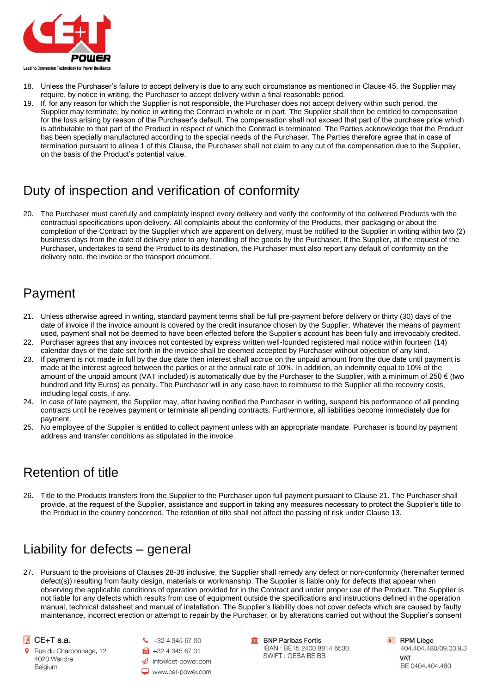

- 18. Unless the Purchaser's failure to accept delivery is due to any such circumstance as mentioned in Clause 45, the Supplier may require, by notice in writing, the Purchaser to accept delivery within a final reasonable period.
- 19. If, for any reason for which the Supplier is not responsible, the Purchaser does not accept delivery within such period, the Supplier may terminate, by notice in writing the Contract in whole or in part. The Supplier shall then be entitled to compensation for the loss arising by reason of the Purchaser's default. The compensation shall not exceed that part of the purchase price which is attributable to that part of the Product in respect of which the Contract is terminated. The Parties acknowledge that the Product has been specially manufactured according to the special needs of the Purchaser. The Parties therefore agree that in case of termination pursuant to alinea 1 of this Clause, the Purchaser shall not claim to any cut of the compensation due to the Supplier, on the basis of the Product's potential value.

## Duty of inspection and verification of conformity

20. The Purchaser must carefully and completely inspect every delivery and verify the conformity of the delivered Products with the contractual specifications upon delivery. All complaints about the conformity of the Products, their packaging or about the completion of the Contract by the Supplier which are apparent on delivery, must be notified to the Supplier in writing within two (2) business days from the date of delivery prior to any handling of the goods by the Purchaser. If the Supplier, at the request of the Purchaser, undertakes to send the Product to its destination, the Purchaser must also report any default of conformity on the delivery note, the invoice or the transport document.

## Payment

- 21. Unless otherwise agreed in writing, standard payment terms shall be full pre-payment before delivery or thirty (30) days of the date of invoice if the invoice amount is covered by the credit insurance chosen by the Supplier. Whatever the means of payment used, payment shall not be deemed to have been effected before the Supplier's account has been fully and irrevocably credited.
- 22. Purchaser agrees that any invoices not contested by express written well-founded registered mail notice within fourteen (14) calendar days of the date set forth in the invoice shall be deemed accepted by Purchaser without objection of any kind.
- 23. If payment is not made in full by the due date then interest shall accrue on the unpaid amount from the due date until payment is made at the interest agreed between the parties or at the annual rate of 10%. In addition, an indemnity equal to 10% of the amount of the unpaid amount (VAT included) is automatically due by the Purchaser to the Supplier, with a minimum of 250  $\epsilon$  (two hundred and fifty Euros) as penalty. The Purchaser will in any case have to reimburse to the Supplier all the recovery costs, including legal costs, if any.
- 24. In case of late payment, the Supplier may, after having notified the Purchaser in writing, suspend his performance of all pending contracts until he receives payment or terminate all pending contracts. Furthermore, all liabilities become immediately due for payment.
- 25. No employee of the Supplier is entitled to collect payment unless with an appropriate mandate. Purchaser is bound by payment address and transfer conditions as stipulated in the invoice.

## Retention of title

26. Title to the Products transfers from the Supplier to the Purchaser upon full payment pursuant to Clause 21. The Purchaser shall provide, at the request of the Supplier, assistance and support in taking any measures necessary to protect the Supplier's title to the Product in the country concerned. The retention of title shall not affect the passing of risk under Clause 13.

## Liability for defects – general

27. Pursuant to the provisions of Clauses 28-38 inclusive, the Supplier shall remedy any defect or non-conformity (hereinafter termed defect(s)) resulting from faulty design, materials or workmanship. The Supplier is liable only for defects that appear when observing the applicable conditions of operation provided for in the Contract and under proper use of the Product. The Supplier is not liable for any defects which results from use of equipment outside the specifications and instructions defined in the operation manual, technical datasheet and manual of installation. The Supplier's liability does not cover defects which are caused by faulty maintenance, incorrect erection or attempt to repair by the Purchaser, or by alterations carried out without the Supplier's consent



- Rue du Charbonnage, 12 4020 Wandre Belgium
- $\begin{array}{cc} \text{C} & +32 & 4 & 345 & 67 & 00 \end{array}$ ■ +32 4 345 67 01 nfo@cet-power.com www.cet-power.com

**m** BNP Paribas Fortis IBAN: BE15 2400 8814 6530 SWIFT: GEBA BE BB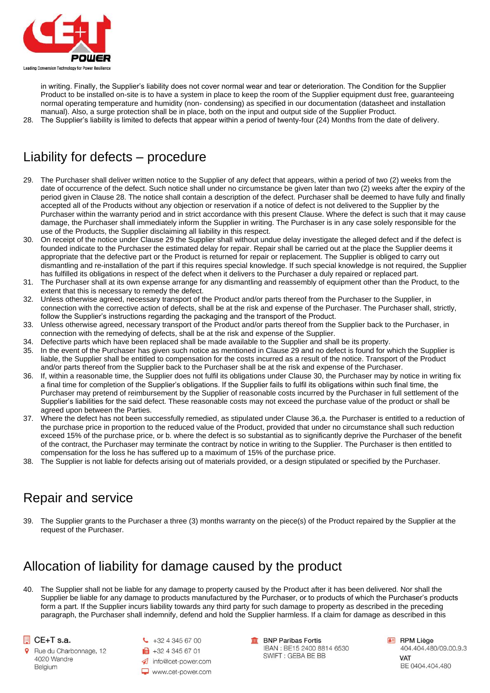

in writing. Finally, the Supplier's liability does not cover normal wear and tear or deterioration. The Condition for the Supplier Product to be installed on-site is to have a system in place to keep the room of the Supplier equipment dust free, guaranteeing normal operating temperature and humidity (non- condensing) as specified in our documentation (datasheet and installation manual). Also, a surge protection shall be in place, both on the input and output side of the Supplier Product.

28. The Supplier's liability is limited to defects that appear within a period of twenty-four (24) Months from the date of delivery.

## Liability for defects – procedure

- 29. The Purchaser shall deliver written notice to the Supplier of any defect that appears, within a period of two (2) weeks from the date of occurrence of the defect. Such notice shall under no circumstance be given later than two (2) weeks after the expiry of the period given in Clause 28. The notice shall contain a description of the defect. Purchaser shall be deemed to have fully and finally accepted all of the Products without any objection or reservation if a notice of defect is not delivered to the Supplier by the Purchaser within the warranty period and in strict accordance with this present Clause. Where the defect is such that it may cause damage, the Purchaser shall immediately inform the Supplier in writing. The Purchaser is in any case solely responsible for the use of the Products, the Supplier disclaiming all liability in this respect.
- 30. On receipt of the notice under Clause 29 the Supplier shall without undue delay investigate the alleged defect and if the defect is founded indicate to the Purchaser the estimated delay for repair. Repair shall be carried out at the place the Supplier deems it appropriate that the defective part or the Product is returned for repair or replacement. The Supplier is obliged to carry out dismantling and re-installation of the part if this requires special knowledge. If such special knowledge is not required, the Supplier has fulfilled its obligations in respect of the defect when it delivers to the Purchaser a duly repaired or replaced part.
- 31. The Purchaser shall at its own expense arrange for any dismantling and reassembly of equipment other than the Product, to the extent that this is necessary to remedy the defect.
- 32. Unless otherwise agreed, necessary transport of the Product and/or parts thereof from the Purchaser to the Supplier, in connection with the corrective action of defects, shall be at the risk and expense of the Purchaser. The Purchaser shall, strictly, follow the Supplier's instructions regarding the packaging and the transport of the Product.
- 33. Unless otherwise agreed, necessary transport of the Product and/or parts thereof from the Supplier back to the Purchaser, in connection with the remedying of defects, shall be at the risk and expense of the Supplier.
- 34. Defective parts which have been replaced shall be made available to the Supplier and shall be its property.
- 35. In the event of the Purchaser has given such notice as mentioned in Clause 29 and no defect is found for which the Supplier is liable, the Supplier shall be entitled to compensation for the costs incurred as a result of the notice. Transport of the Product and/or parts thereof from the Supplier back to the Purchaser shall be at the risk and expense of the Purchaser.
- 36. If, within a reasonable time, the Supplier does not fulfil its obligations under Clause 30, the Purchaser may by notice in writing fix a final time for completion of the Supplier's obligations. If the Supplier fails to fulfil its obligations within such final time, the Purchaser may pretend of reimbursement by the Supplier of reasonable costs incurred by the Purchaser in full settlement of the Supplier's liabilities for the said defect. These reasonable costs may not exceed the purchase value of the product or shall be agreed upon between the Parties.
- 37. Where the defect has not been successfully remedied, as stipulated under Clause 36,a. the Purchaser is entitled to a reduction of the purchase price in proportion to the reduced value of the Product, provided that under no circumstance shall such reduction exceed 15% of the purchase price, or b. where the defect is so substantial as to significantly deprive the Purchaser of the benefit of the contract, the Purchaser may terminate the contract by notice in writing to the Supplier. The Purchaser is then entitled to compensation for the loss he has suffered up to a maximum of 15% of the purchase price.
- 38. The Supplier is not liable for defects arising out of materials provided, or a design stipulated or specified by the Purchaser.

## Repair and service

39. The Supplier grants to the Purchaser a three (3) months warranty on the piece(s) of the Product repaired by the Supplier at the request of the Purchaser.

## Allocation of liability for damage caused by the product

40. The Supplier shall not be liable for any damage to property caused by the Product after it has been delivered. Nor shall the Supplier be liable for any damage to products manufactured by the Purchaser, or to products of which the Purchaser's products form a part. If the Supplier incurs liability towards any third party for such damage to property as described in the preceding paragraph, the Purchaser shall indemnify, defend and hold the Supplier harmless. If a claim for damage as described in this

#### CE+T s.a.

- Rue du Charbonnage, 12 4020 Wandre Belgium
- $\begin{array}{cc} \text{C} & +32 & 4 & 345 & 67 & 00 \end{array}$ ■ +32 4 345 67 01 nfo@cet-power.com www.cet-power.com

**m** BNP Paribas Fortis IBAN : BE15 2400 8814 6530 SWIFT: GEBA BE BB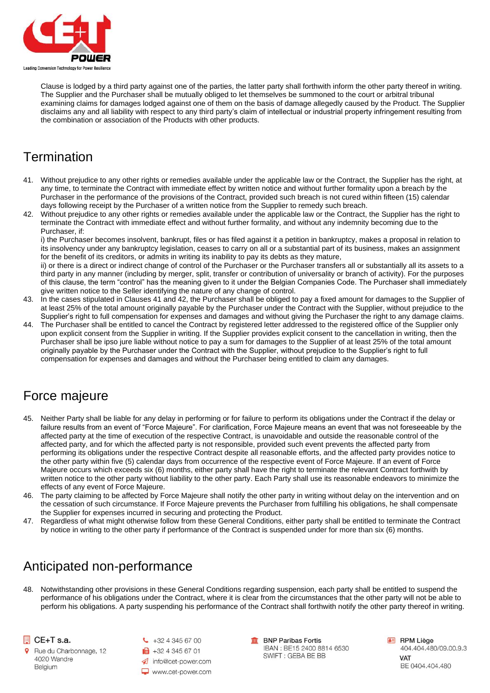

Clause is lodged by a third party against one of the parties, the latter party shall forthwith inform the other party thereof in writing. The Supplier and the Purchaser shall be mutually obliged to let themselves be summoned to the court or arbitral tribunal examining claims for damages lodged against one of them on the basis of damage allegedly caused by the Product. The Supplier disclaims any and all liability with respect to any third party's claim of intellectual or industrial property infringement resulting from the combination or association of the Products with other products.

## **Termination**

- 41. Without prejudice to any other rights or remedies available under the applicable law or the Contract, the Supplier has the right, at any time, to terminate the Contract with immediate effect by written notice and without further formality upon a breach by the Purchaser in the performance of the provisions of the Contract, provided such breach is not cured within fifteen (15) calendar days following receipt by the Purchaser of a written notice from the Supplier to remedy such breach.
- 42. Without prejudice to any other rights or remedies available under the applicable law or the Contract, the Supplier has the right to terminate the Contract with immediate effect and without further formality, and without any indemnity becoming due to the Purchaser, if:

i) the Purchaser becomes insolvent, bankrupt, files or has filed against it a petition in bankruptcy, makes a proposal in relation to its insolvency under any bankruptcy legislation, ceases to carry on all or a substantial part of its business, makes an assignment for the benefit of its creditors, or admits in writing its inability to pay its debts as they mature,

ii) or there is a direct or indirect change of control of the Purchaser or the Purchaser transfers all or substantially all its assets to a third party in any manner (including by merger, split, transfer or contribution of universality or branch of activity). For the purposes of this clause, the term "control" has the meaning given to it under the Belgian Companies Code. The Purchaser shall immediately give written notice to the Seller identifying the nature of any change of control.

- 43. In the cases stipulated in Clauses 41 and 42, the Purchaser shall be obliged to pay a fixed amount for damages to the Supplier of at least 25% of the total amount originally payable by the Purchaser under the Contract with the Supplier, without prejudice to the Supplier's right to full compensation for expenses and damages and without giving the Purchaser the right to any damage claims.
- 44. The Purchaser shall be entitled to cancel the Contract by registered letter addressed to the registered office of the Supplier only upon explicit consent from the Supplier in writing. If the Supplier provides explicit consent to the cancellation in writing, then the Purchaser shall be ipso jure liable without notice to pay a sum for damages to the Supplier of at least 25% of the total amount originally payable by the Purchaser under the Contract with the Supplier, without prejudice to the Supplier's right to full compensation for expenses and damages and without the Purchaser being entitled to claim any damages.

#### Force majeure

- 45. Neither Party shall be liable for any delay in performing or for failure to perform its obligations under the Contract if the delay or failure results from an event of "Force Majeure". For clarification, Force Majeure means an event that was not foreseeable by the affected party at the time of execution of the respective Contract, is unavoidable and outside the reasonable control of the affected party, and for which the affected party is not responsible, provided such event prevents the affected party from performing its obligations under the respective Contract despite all reasonable efforts, and the affected party provides notice to the other party within five (5) calendar days from occurrence of the respective event of Force Majeure. If an event of Force Majeure occurs which exceeds six (6) months, either party shall have the right to terminate the relevant Contract forthwith by written notice to the other party without liability to the other party. Each Party shall use its reasonable endeavors to minimize the effects of any event of Force Majeure.
- 46. The party claiming to be affected by Force Majeure shall notify the other party in writing without delay on the intervention and on the cessation of such circumstance. If Force Majeure prevents the Purchaser from fulfilling his obligations, he shall compensate the Supplier for expenses incurred in securing and protecting the Product.
- 47. Regardless of what might otherwise follow from these General Conditions, either party shall be entitled to terminate the Contract by notice in writing to the other party if performance of the Contract is suspended under for more than six (6) months.

## Anticipated non-performance

48. Notwithstanding other provisions in these General Conditions regarding suspension, each party shall be entitled to suspend the performance of his obligations under the Contract, where it is clear from the circumstances that the other party will not be able to perform his obligations. A party suspending his performance of the Contract shall forthwith notify the other party thereof in writing.

#### CE+T s.a.

Rue du Charbonnage, 12 4020 Wandre Belgium

 $\bigcup$  +32 4 345 67 00 ■ +32 4 345 67 01 nfo@cet-power.com www.cet-power.com **In BNP Paribas Fortis** IBAN : BE15 2400 8814 6530 SWIFT: GEBA BE BB